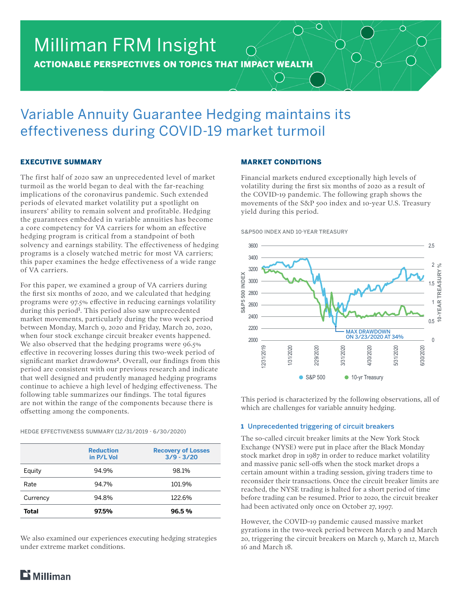# Milliman FRM Insight

ACTIONABLE PERSPECTIVES ON TOPICS THAT IMPACT WEALTH

# Variable Annuity Guarantee Hedging maintains its effectiveness during COVID-19 market turmoil

# EXECUTIVE SUMMARY

The first half of 2020 saw an unprecedented level of market turmoil as the world began to deal with the far-reaching implications of the coronavirus pandemic. Such extended periods of elevated market volatility put a spotlight on insurers' ability to remain solvent and profitable. Hedging the guarantees embedded in variable annuities has become a core competency for VA carriers for whom an effective hedging program is critical from a standpoint of both solvency and earnings stability. The effectiveness of hedging programs is a closely watched metric for most VA carriers; this paper examines the hedge effectiveness of a wide range of VA carriers.

For this paper, we examined a group of VA carriers during the first six months of 2020, and we calculated that hedging programs were 97.5% effective in reducing earnings volatility during this period<sup>1</sup>. This period also saw unprecedented market movements, particularly during the two week period between Monday, March 9, 2020 and Friday, March 20, 2020, when four stock exchange circuit breaker events happened. We also observed that the hedging programs were  $96.5\%$ effective in recovering losses during this two-week period of significant market drawdowns<sup>2</sup>. Overall, our findings from this period are consistent with our previous research and indicate that well designed and prudently managed hedging programs continue to achieve a high level of hedging effectiveness. The following table summarizes our findings. The total figures are not within the range of the components because there is offsetting among the components.

HEDGE EFFECTIVENESS SUMMARY (12/31/2019 - 6/30/2020)

|          | <b>Reduction</b><br>in P/L Vol | <b>Recovery of Losses</b><br>$3/9 - 3/20$ |
|----------|--------------------------------|-------------------------------------------|
| Equity   | 94.9%                          | 98.1%                                     |
| Rate     | 94.7%                          | 101.9%                                    |
| Currency | 94.8%                          | 122.6%                                    |
| Total    | 97.5%                          | 96.5%                                     |

We also examined our experiences executing hedging strategies under extreme market conditions.

# MARKET CONDITIONS

Financial markets endured exceptionally high levels of volatility during the first six months of 2020 as a result of the COVID-19 pandemic. The following graph shows the movements of the S&P 500 index and 10-year U.S. Treasury yield during this period.

O

O

◯

S&P500 INDEX AND 10-YEAR TREASURY



This period is characterized by the following observations, all of which are challenges for variable annuity hedging.

# 1 Unprecedented triggering of circuit breakers

The so-called circuit breaker limits at the New York Stock Exchange (NYSE) were put in place after the Black Monday stock market drop in 1987 in order to reduce market volatility and massive panic sell-offs when the stock market drops a certain amount within a trading session, giving traders time to reconsider their transactions. Once the circuit breaker limits are reached, the NYSE trading is halted for a short period of time before trading can be resumed. Prior to 2020, the circuit breaker had been activated only once on October 27, 1997.

However, the COVID-19 pandemic caused massive market gyrations in the two-week period between March 9 and March 20, triggering the circuit breakers on March 9, March 12, March 16 and March 18.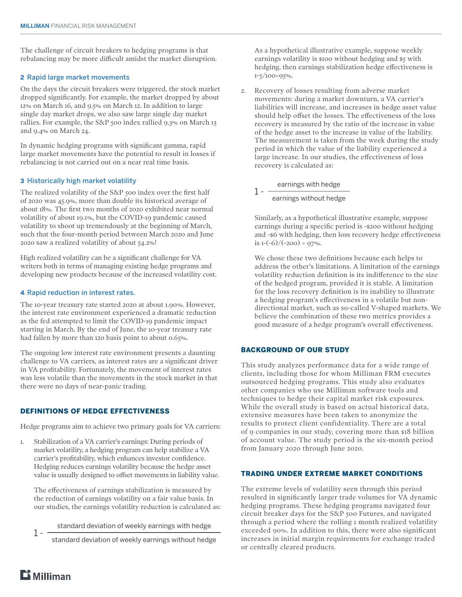The challenge of circuit breakers to hedging programs is that rebalancing may be more difficult amidst the market disruption.

## 2 Rapid large market movements

On the days the circuit breakers were triggered, the stock market dropped significantly. For example, the market dropped by about 12% on March 16, and 9.5% on March 12. In addition to large single day market drops, we also saw large single day market rallies. For example, the S&P 500 index rallied 9.3% on March 13 and 9.4% on March 24.

In dynamic hedging programs with significant gamma, rapid large market movements have the potential to result in losses if rebalancing is not carried out on a near real time basis.

# 3 Historically high market volatility

The realized volatility of the S&P 500 index over the first half of 2020 was 45.9%, more than double its historical average of about 18%. The first two months of 2020 exhibited near normal volatility of about 19.1%, but the COVID-19 pandemic caused volatility to shoot up tremendously at the beginning of March, such that the four-month period between March 2020 and June 2020 saw a realized volatility of about 54.2%!

High realized volatility can be a significant challenge for VA writers both in terms of managing existing hedge programs and developing new products because of the increased volatility cost.

## 4 Rapid reduction in interest rates.

The 10-year treasury rate started 2020 at about 1.90%. However, the interest rate environment experienced a dramatic reduction as the fed attempted to limit the COVID-19 pandemic impact starting in March. By the end of June, the 10-year treasury rate had fallen by more than 120 basis point to about 0.65%.

The ongoing low interest rate environment presents a daunting challenge to VA carriers, as interest rates are a significant driver in VA profitability. Fortunately, the movement of interest rates was less volatile than the movements in the stock market in that there were no days of near-panic trading.

# DEFINITIONS OF HEDGE EFFECTIVENESS

Hedge programs aim to achieve two primary goals for VA carriers:

1. Stabilization of a VA carrier's earnings: During periods of market volatility, a hedging program can help stabilize a VA carrier's profitability, which enhances investor confidence. Hedging reduces earnings volatility because the hedge asset value is usually designed to offset movements in liability value.

The effectiveness of earnings stabilization is measured by the reduction of earnings volatility on a fair value basis. In our studies, the earnings volatility reduction is calculated as:

1 - standard deviation of weekly earnings with hedge

standard deviation of weekly earnings without hedge

As a hypothetical illustrative example, suppose weekly earnings volatility is \$100 without hedging and \$5 with hedging, then earnings stabilization hedge effectiveness is 1-5/100=95%.

2. Recovery of losses resulting from adverse market movements: during a market downturn, a VA carrier's liabilities will increase, and increases in hedge asset value should help offset the losses. The effectiveness of the loss recovery is measured by the ratio of the increase in value of the hedge asset to the increase in value of the liability. The measurement is taken from the week during the study period in which the value of the liability experienced a large increase. In our studies, the effectiveness of loss recovery is calculated as:

1 - earnings with hedge earnings without hedge

Similarly, as a hypothetical illustrative example, suppose earnings during a specific period is -\$200 without hedging and -\$6 with hedging, then loss recovery hedge effectiveness is  $1-(-6)/(-200) = 97\%$ .

We chose these two definitions because each helps to address the other's limitations. A limitation of the earnings volatility reduction definition is its indifference to the size of the hedged program, provided it is stable. A limitation for the loss recovery definition is its inability to illustrate a hedging program's effectiveness in a volatile but nondirectional market, such as so-called V-shaped markets. We believe the combination of these two metrics provides a good measure of a hedge program's overall effectiveness.

## BACKGROUND OF OUR STUDY

This study analyzes performance data for a wide range of clients, including those for whom Milliman FRM executes outsourced hedging programs. This study also evaluates other companies who use Milliman software tools and techniques to hedge their capital market risk exposures. While the overall study is based on actual historical data, extensive measures have been taken to anonymize the results to protect client confidentiality. There are a total of 9 companies in our study, covering more than \$18 billion of account value. The study period is the six-month period from January 2020 through June 2020.

# TRADING UNDER EXTREME MARKET CONDITIONS

The extreme levels of volatility seen through this period resulted in significantly larger trade volumes for VA dynamic hedging programs. These hedging programs navigated four circuit breaker days for the S&P 500 Futures, and navigated through a period where the rolling 1 month realized volatility exceeded 90%. In addition to this, there were also significant increases in initial margin requirements for exchange traded or centrally cleared products.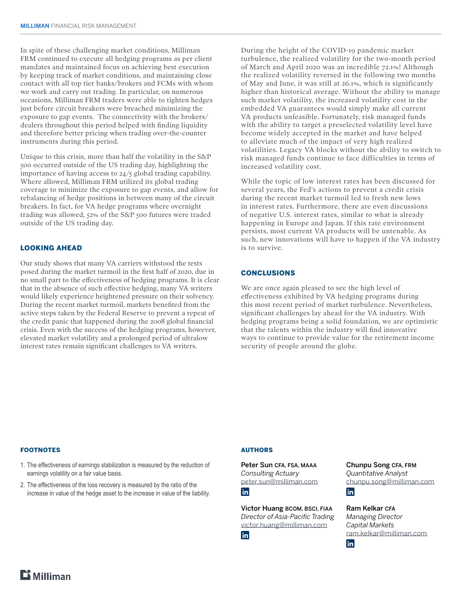In spite of these challenging market conditions, Milliman FRM continued to execute all hedging programs as per client mandates and maintained focus on achieving best execution by keeping track of market conditions, and maintaining close contact with all top tier banks/brokers and FCMs with whom we work and carry out trading. In particular, on numerous occasions, Milliman FRM traders were able to tighten hedges just before circuit breakers were breached minimizing the exposure to gap events. The connectivity with the brokers/ dealers throughout this period helped with finding liquidity and therefore better pricing when trading over-the-counter instruments during this period.

Unique to this crisis, more than half the volatility in the S&P 500 occurred outside of the US trading day, highlighting the importance of having access to 24/5 global trading capability. Where allowed, Milliman FRM utilized its global trading coverage to minimize the exposure to gap events, and allow for rebalancing of hedge positions in between many of the circuit breakers. In fact, for VA hedge programs where overnight trading was allowed, 52% of the S&P 500 futures were traded outside of the US trading day.

# LOOKING AHEAD

Our study shows that many VA carriers withstood the tests posed during the market turmoil in the first half of 2020, due in no small part to the effectiveness of hedging programs. It is clear that in the absence of such effective hedging, many VA writers would likely experience heightened pressure on their solvency. During the recent market turmoil, markets benefited from the active steps taken by the Federal Reserve to prevent a repeat of the credit panic that happened during the 2008 global financial crisis. Even with the success of the hedging programs, however, elevated market volatility and a prolonged period of ultralow interest rates remain significant challenges to VA writers.

During the height of the COVID-19 pandemic market turbulence, the realized volatility for the two-month period of March and April 2020 was an incredible 72.1%! Although the realized volatility reversed in the following two months of May and June, it was still at 26.1%, which is significantly higher than historical average. Without the ability to manage such market volatility, the increased volatility cost in the embedded VA guarantees would simply make all current VA products unfeasible. Fortunately, risk managed funds with the ability to target a preselected volatility level have become widely accepted in the market and have helped to alleviate much of the impact of very high realized volatilities. Legacy VA blocks without the ability to switch to risk managed funds continue to face difficulties in terms of increased volatility cost.

While the topic of low interest rates has been discussed for several years, the Fed's actions to prevent a credit crisis during the recent market turmoil led to fresh new lows in interest rates. Furthermore, there are even discussions of negative U.S. interest rates, similar to what is already happening in Europe and Japan. If this rate environment persists, most current VA products will be untenable. As such, new innovations will have to happen if the VA industry is to survive.

# **CONCLUSIONS**

We are once again pleased to see the high level of effectiveness exhibited by VA hedging programs during this most recent period of market turbulence. Nevertheless, significant challenges lay ahead for the VA industry. With hedging programs being a solid foundation, we are optimistic that the talents within the industry will find innovative ways to continue to provide value for the retirement income security of people around the globe.

#### FOOTNOTES

- 1. The effectiveness of earnings stabilization is measured by the reduction of earnings volatility on a fair value basis.
- 2. The effectiveness of the loss recovery is measured by the ratio of the increase in value of the hedge asset to the increase in value of the liability.

#### AUTHORS

Peter Sun CFA, FSA, MAAA *Consulting Actuary* [peter.sun@milliman.com](mailto:peter.sun%40milliman.com%20?subject=VA%20Hedge%20Effectiveness)

**in** 

Victor Huang BCOM, BSCI, FIAA *Director of Asia-Pacific Trading* [victor.huang@milliman.com](mailto:victor.huang%40milliman.com?subject=VA%20Hedge%20Effectiveness)

in

Chunpu Song CFA, FRM *Quantitative Analyst* [chunpu.song@milliman.com](mailto:chunpu.song%40milliman.com?subject=VA%20Hedge%20Effectiveness) **in** 

Ram Kelkar CFA *Managing Director Capital Markets* [ram.kelkar@milliman.com](mailto:ram.kelkar%40milliman.com?subject=VA%20Hedge%20Effectiveness)in l

 $E$  Milliman